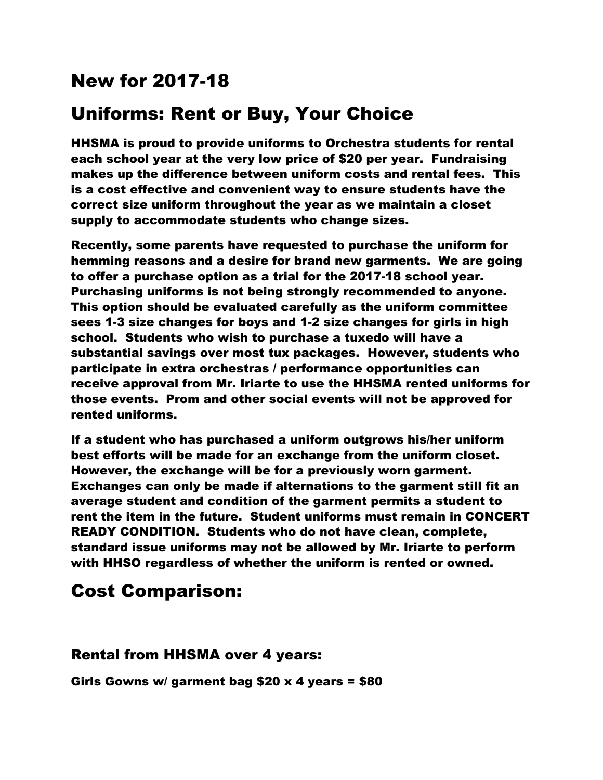## New for 2017-18

# Uniforms: Rent or Buy, Your Choice

HHSMA is proud to provide uniforms to Orchestra students for rental each school year at the very low price of \$20 per year. Fundraising makes up the difference between uniform costs and rental fees. This is a cost effective and convenient way to ensure students have the correct size uniform throughout the year as we maintain a closet supply to accommodate students who change sizes.

Recently, some parents have requested to purchase the uniform for hemming reasons and a desire for brand new garments. We are going to offer a purchase option as a trial for the 2017-18 school year. Purchasing uniforms is not being strongly recommended to anyone. This option should be evaluated carefully as the uniform committee sees 1-3 size changes for boys and 1-2 size changes for girls in high school. Students who wish to purchase a tuxedo will have a substantial savings over most tux packages. However, students who participate in extra orchestras / performance opportunities can receive approval from Mr. Iriarte to use the HHSMA rented uniforms for those events. Prom and other social events will not be approved for rented uniforms.

If a student who has purchased a uniform outgrows his/her uniform best efforts will be made for an exchange from the uniform closet. However, the exchange will be for a previously worn garment. Exchanges can only be made if alternations to the garment still fit an average student and condition of the garment permits a student to rent the item in the future. Student uniforms must remain in CONCERT READY CONDITION. Students who do not have clean, complete, standard issue uniforms may not be allowed by Mr. Iriarte to perform with HHSO regardless of whether the uniform is rented or owned.

## Cost Comparison:

### Rental from HHSMA over 4 years:

Girls Gowns w/ garment bag \$20 x 4 years = \$80